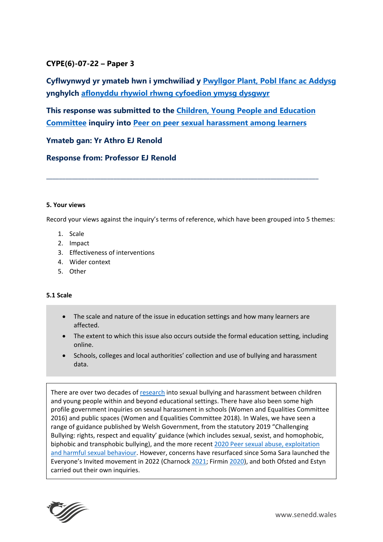# **CYPE(6)-07-22 – Paper 3**

**Cyflwynwyd yr ymateb hwn i ymchwiliad y [Pwyllgor Plant, Pobl Ifanc ac Addysg](https://senedd.cymru/pwyllgorau/y-pwyllgor-plant-pobl-ifanc-ac-addysg/) ynghylch [aflonyddu rhywiol rhwng cyfoedion ymysg dysgwyr](https://busnes.senedd.cymru/mgIssueHistoryHome.aspx?IId=38554)**

**This response was submitted to the [Children, Young People and Education](https://senedd.wales/committee/736)  [Committee](https://senedd.wales/committee/736) inquiry into [Peer on peer sexual harassment among learners](https://business.senedd.wales/mgIssueHistoryHome.aspx?IId=38554)**

**\_\_\_\_\_\_\_\_\_\_\_\_\_\_\_\_\_\_\_\_\_\_\_\_\_\_\_\_\_\_\_\_\_\_\_\_\_\_\_\_\_\_\_\_\_\_\_\_\_\_\_\_\_\_\_\_\_\_\_\_\_\_\_\_\_\_\_\_\_\_\_\_\_\_\_\_\_\_\_\_\_\_\_\_\_**

# **Ymateb gan: Yr Athro EJ Renold**

**Response from: Professor EJ Renold**

### **5. Your views**

Record your views against the inquiry's terms of reference, which have been grouped into 5 themes:

- 1. Scale
- 2. Impact
- 3. Effectiveness of interventions
- 4. Wider context
- 5. Other

## **5.1 Scale**

- The scale and nature of the issue in education settings and how many learners are affected.
- The extent to which this issue also occurs outside the formal education setting, including online.
- Schools, colleges and local authorities' collection and use of bullying and harassment data.

There are over two decades of [research](https://publications.parliament.uk/pa/cm201617/cmselect/cmwomeq/91/9115.htm#_idTextAnchor109) into sexual bullying and harassment between children and young people within and beyond educational settings. There have also been some high profile government inquiries on sexual harassment in schools (Women and Equalities Committee 2016) and public spaces (Women and Equalities Committee 2018). In Wales, we have seen a range of guidance published by Welsh Government, from the statutory 2019 "Challenging Bullying: rights, respect and equality' guidance (which includes sexual, sexist, and homophobic, biphobic and transphobic bullying), and the more recent [2020 Peer sexual abuse, exploitation](https://gov.wales/peer-sexual-abuse-exploitation-and-harmful-sexual-behaviour)  [and harmful sexual behaviour.](https://gov.wales/peer-sexual-abuse-exploitation-and-harmful-sexual-behaviour) However, concerns have resurfaced since Soma Sara launched the Everyone's Invited movement in 2022 (Charnock [2021;](http://www.bris.ac.uk/media-library/sites/policybristol/briefings-and-reports-pdfs/2021/PolicyBristol_Briefing_100_Churnock_teen-sexual-violence.pdf) Firmin [2020\)](https://www.tandfonline.com/doi/full/10.1080/13552600.2019.1618934), and both Ofsted and Estyn carried out their own inquiries.

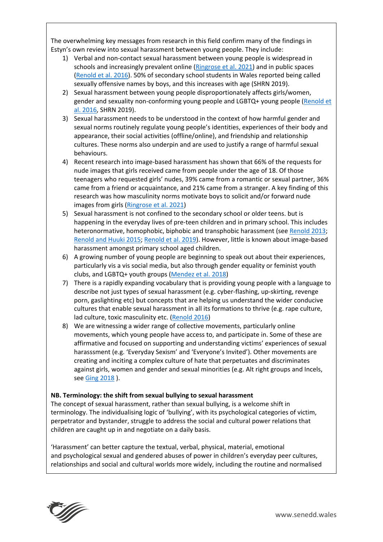The overwhelming key messages from research in this field confirm many of the findings in Estyn's own review into sexual harassment between young people. They include:

- 1) Verbal and non-contact sexual harassment between young people is widespread in schools and increasingly prevalent online [\(Ringrose](https://www.ascl.org.uk/ASCL/media/ASCL/Our%20view/Campaigns/Understanding-and-combatting-youth-experiences-of-image-based-sexual-harassment-and-abuse-full-report.pdf) et al. 2021) and in public spaces [\(Renold](https://www.tandfonline.com/doi/full/10.1080/09589236.2017.1296352) et al. 2016). 50% of secondary school students in Wales reported being called sexually offensive names by boys, and this increases with age (SHRN 2019).
- 2) Sexual harassment between young people disproportionately affects girls/women, gender and sexuality non-conforming young people and LGBTQ+ young people (Renold et [al. 2016,](https://orca.cardiff.ac.uk/107599/1/How%20Gender%20Matters.pdf) SHRN 2019).
- 3) Sexual harassment needs to be understood in the context of how harmful gender and sexual norms routinely regulate young people's identities, experiences of their body and appearance, their social activities (offline/online), and friendship and relationship cultures. These norms also underpin and are used to justify a range of harmful sexual behaviours.
- 4) Recent research into image-based harassment has shown that 66% of the requests for nude images that girls received came from people under the age of 18. Of those teenagers who requested girls' nudes, 39% came from a romantic or sexual partner, 36% came from a friend or acquaintance, and 21% came from a stranger. A key finding of this research was how masculinity norms motivate boys to solicit and/or forward nude images from girls [\(Ringrose et al. 2021\)](https://www.ascl.org.uk/ASCL/media/ASCL/Our%20view/Campaigns/Understanding-and-combatting-youth-experiences-of-image-based-sexual-harassment-and-abuse-full-report.pdf)
- 5) Sexual harassment is not confined to the secondary school or older teens. but is happening in the everyday lives of pre-teen children and in primary school. This includes heteronormative, homophobic, biphobic and transphobic harassment (see [Renold 2013;](https://www.cardiff.ac.uk/__data/assets/pdf_file/0016/29050/BOYS-AND-GIRLS-SPEAK-OUT-FINAL.pdf) [Renold and Huuki 2015;](https://orca.cardiff.ac.uk/88395/) [Renold et al. 2019\)](https://learning.nspcc.org.uk/research-resources/2019/agenda-promoting-positive-relationships-schools-communities). However, little is known about image-based harassment amongst primary school aged children.
- 6) A growing number of young people are beginning to speak out about their experiences, particularly vis a vis social media, but also through gender equality or feminist youth clubs, and LGBTQ+ youth groups [\(Mendez et al. 2018\)](https://journals.sagepub.com/doi/abs/10.1177/1350506818765318)
- 7) There is a rapidly expanding vocabulary that is providing young people with a language to describe not just types of sexual harassment (e.g. cyber-flashing, up-skirting, revenge porn, gaslighting etc) but concepts that are helping us understand the wider conducive cultures that enable sexual harassment in all its formations to thrive (e.g. rape culture, lad culture, toxic masculinity etc. [\(Renold 2016\)](https://theconversation.com/children-are-leading-the-way-on-tackling-sexual-harassment-in-schools-73937)
- 8) We are witnessing a wider range of collective movements, particularly online movements, which young people have access to, and participate in. Some of these are affirmative and focused on supporting and understanding victims' experiences of sexual harasssment (e.g. 'Everyday Sexism' and 'Everyone's Invited'). Other movements are creating and inciting a complex culture of hate that perpetuates and discriminates against girls, women and gender and sexual minorities (e.g. Alt right groups and Incels, see Ging [2018](https://journals.sagepub.com/doi/abs/10.1177/1097184X17706401?journalCode=jmma) ).

## **NB. Terminology: the shift from sexual bullying to sexual harassment**

The concept of sexual harassment, rather than sexual bullying, is a welcome shift in terminology. The individualising logic of 'bullying', with its psychological categories of victim, perpetrator and bystander, struggle to address the social and cultural power relations that children are caught up in and negotiate on a daily basis.

'Harassment' can better capture the textual, verbal, physical, material, emotional and psychological sexual and gendered abuses of power in children's everyday peer cultures, relationships and social and cultural worlds more widely, including the routine and normalised

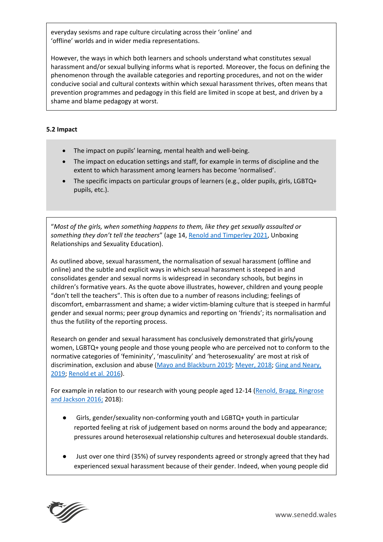everyday sexisms and rape culture circulating across their 'online' and 'offline' worlds and in wider media representations.

However, the ways in which both learners and schools understand what constitutes sexual harassment and/or sexual bullying informs what is reported. Moreover, the focus on defining the phenomenon through the available categories and reporting procedures, and not on the wider conducive social and cultural contexts within which sexual harassment thrives, often means that prevention programmes and pedagogy in this field are limited in scope at best, and driven by a shame and blame pedagogy at worst.

## **5.2 Impact**

- The impact on pupils' learning, mental health and well-being.
- The impact on education settings and staff, for example in terms of discipline and the extent to which harassment among learners has become 'normalised'.
- The specific impacts on particular groups of learners (e.g., older pupils, girls, LGBTQ+ pupils, etc.).

"*Most of the girls, when something happens to them, like they get sexually assaulted or something they don't tell the teachers*" (age 14, [Renold and Timperley 2021,](https://vimeo.com/manage/videos/667900095) Unboxing Relationships and Sexuality Education).

As outlined above, sexual harassment, the normalisation of sexual harassment (offline and online) and the subtle and explicit ways in which sexual harassment is steeped in and consolidates gender and sexual norms is widespread in secondary schools, but begins in children's formative years. As the quote above illustrates, however, children and young people "don't tell the teachers". This is often due to a number of reasons including; feelings of discomfort, embarrassment and shame; a wider victim-blaming culture that is steeped in harmful gender and sexual norms; peer group dynamics and reporting on 'friends'; its normalisation and thus the futility of the reporting process.

Research on gender and sexual harassment has conclusively demonstrated that girls/young women, LGBTQ+ young people and those young people who are perceived not to conform to the normative categories of 'femininity', 'masculinity' and 'heterosexuality' are most at risk of discrimination, exclusion and abuse [\(Mayo and Blackburn 2019;](https://books.google.co.uk/books?hl=en&lr=&id=4EDCDwAAQBAJ&oi=fnd&pg=PT12&dq=mayo+and+blackburn&ots=QM03HEtmmT&sig=llRHSZBBuscqZ5EQHhzmbA4WKuE&redir_esc=y#v=onepage&q=mayo%20and%20blackburn&f=false) [Meyer, 2018;](https://books.google.co.uk/books?hl=en&lr=&id=o3_lFht5FywC&oi=fnd&pg=PT11&dq=Meyer+Elizabeth&ots=tjssWvdE_i&sig=PSdZWgFQZWSVKbjcbPe-OjEeHAo&redir_esc=y#v=onepage&q=Meyer%20Elizabeth&f=false) [Ging and Neary,](https://link.springer.com/article/10.1007/s42380-019-00053-3?fbclid=IwAR3_lVjRqa-6bUG4Fbhcc7tFIwuMI1vLGeNr_-o2gtvgog6frapo3vbO5FQ)  [2019;](https://link.springer.com/article/10.1007/s42380-019-00053-3?fbclid=IwAR3_lVjRqa-6bUG4Fbhcc7tFIwuMI1vLGeNr_-o2gtvgog6frapo3vbO5FQ) [Renold et al. 2016\)](https://books.google.co.uk/books?hl=en&lr=&id=mGukCgAAQBAJ&oi=fnd&pg=PP1&dq=children,+sexuality+sexualisation+reonld&ots=qf56uTYu2e&sig=auusGkMmSrNNbxcEfdcSDqvccd4&redir_esc=y#v=onepage&q=children%2C%20sexuality%20sexualisation%20reonld&f=false).

For example in relation to our research with young people aged 12-14 [\(Renold, Bragg, Ringrose](https://orca.cardiff.ac.uk/107599/1/How%20Gender%20Matters.pdf)  [and Jackson 2016;](https://orca.cardiff.ac.uk/107599/1/How%20Gender%20Matters.pdf) 2018):

- Girls, gender/sexuality non-conforming youth and LGBTQ+ youth in particular reported feeling at risk of judgement based on norms around the body and appearance; pressures around heterosexual relationship cultures and heterosexual double standards.
- Just over one third (35%) of survey respondents agreed or strongly agreed that they had experienced sexual harassment because of their gender. Indeed, when young people did

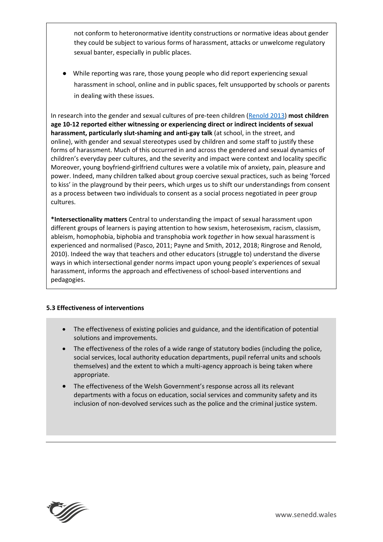not conform to heteronormative identity constructions or normative ideas about gender they could be subject to various forms of harassment, attacks or unwelcome regulatory sexual banter, especially in public places.

● While reporting was rare, those young people who did report experiencing sexual harassment in school, online and in public spaces, felt unsupported by schools or parents in dealing with these issues.

In research into the gender and sexual cultures of pre-teen children [\(Renold 2013\)](https://www.cardiff.ac.uk/__data/assets/pdf_file/0016/29050/BOYS-AND-GIRLS-SPEAK-OUT-FINAL.pdf) **most children age 10-12 reported either witnessing or experiencing direct or indirect incidents of sexual harassment, particularly slut-shaming and anti-gay talk** (at school, in the street, and online), with gender and sexual stereotypes used by children and some staff to justify these forms of harassment. Much of this occurred in and across the gendered and sexual dynamics of children's everyday peer cultures, and the severity and impact were context and locality specific Moreover, young boyfriend-girlfriend cultures were a volatile mix of anxiety, pain, pleasure and power. Indeed, many children talked about group coercive sexual practices, such as being 'forced to kiss' in the playground by their peers, which urges us to shift our understandings from consent as a process between two individuals to consent as a social process negotiated in peer group cultures.

**\*Intersectionality matters** Central to understanding the impact of sexual harassment upon different groups of learners is paying attention to how sexism, heterosexism, racism, classism, ableism, homophobia, biphobia and transphobia work *together* in how sexual harassment is experienced and normalised (Pasco, 2011; Payne and Smith, 2012, 2018; Ringrose and Renold, 2010). Indeed the way that teachers and other educators (struggle to) understand the diverse ways in which intersectional gender norms impact upon young people's experiences of sexual harassment, informs the approach and effectiveness of school-based interventions and pedagogies.

## **5.3 Effectiveness of interventions**

- The effectiveness of existing policies and guidance, and the identification of potential solutions and improvements.
- The effectiveness of the roles of a wide range of statutory bodies (including the police, social services, local authority education departments, pupil referral units and schools themselves) and the extent to which a multi-agency approach is being taken where appropriate.
- The effectiveness of the Welsh Government's response across all its relevant departments with a focus on education, social services and community safety and its inclusion of non-devolved services such as the police and the criminal justice system.

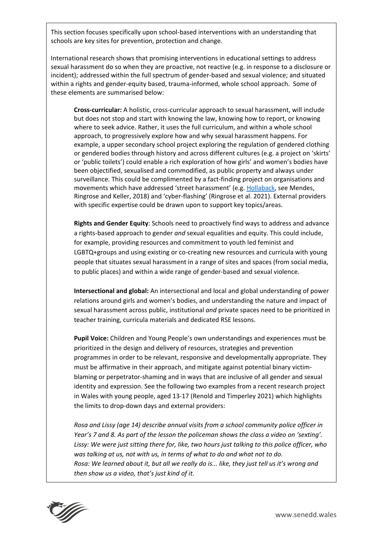This section focuses specifically upon school-based interventions with an understanding that schools are key sites for prevention, protection and change.

International research shows that promising interventions in educational settings to address sexual harassment do so when they are proactive, not reactive (e.g. in response to a disclosure or incident); addressed within the full spectrum of gender-based and sexual violence; and situated within a rights and gender-equity based, trauma-informed, whole school approach. Some of these elements are summarised below:

**Cross-curricular:** A holistic, cross-curricular approach to sexual harassment, will include but does not stop and start with knowing the law, knowing how to report, or knowing where to seek advice. Rather, it uses the full curriculum, and within a whole school approach, to progressively explore how and why sexual harassment happens. For example, a upper secondary school project exploring the regulation of gendered clothing or gendered bodies through history and across different cultures (e.g. a project on 'skirts' or 'public toilets') could enable a rich exploration of how girls' and women's bodies have been objectified, sexualised and commodified, as public property and always under surveillance. This could be complimented by a fact-finding project on organisations and movements which have addressed 'street harassment' (e.g. [Hollaback,](https://www.ihollaback.org/) see Mendes, Ringrose and Keller, 2018) and 'cyber-flashing' (Ringrose et al. 2021). External providers with specific expertise could be drawn upon to support key topics/areas.

**Rights and Gender Equity**: Schools need to proactively find ways to address and advance a rights-based approach to gender *and* sexual equalities and equity. This could include, for example, providing resources and commitment to youth led feminist and LGBTQ+groups and using existing or co-creating new resources and curricula with young people that situates sexual harassment in a range of sites and spaces (from social media, to public places) and within a wide range of gender-based and sexual violence.

**Intersectional and global:** An intersectional and local and global understanding of power relations around girls and women's bodies, and understanding the nature and impact of sexual harassment across public, institutional *and* private spaces need to be prioritized in teacher training, curricula materials and dedicated RSE lessons.

**Pupil Voice:** Children and Young People's own understandings and experiences must be prioritized in the design and delivery of resources, strategies and prevention programmes in order to be relevant, responsive and developmentally appropriate. They must be affirmative in their approach, and mitigate against potential binary victimblaming or perpetrator-shaming and in ways that are inclusive of all gender and sexual identity and expression. See the following two examples from a recent research project in Wales with young people, aged 13-17 (Renold and Timperley 2021) which highlights the limits to drop-down days and external providers:

*Rosa and Lissy (age 14) describe annual visits from a school community police officer in Year's 7 and 8. As part of the lesson the policeman shows the class a video on 'sexting'. Lissy: We were just sitting there for, like, two hours just talking to this police officer, who was talking at us, not with us, in terms of what to do and what not to do. Rosa: We learned about it, but all we really do is... like, they just tell us it's wrong and then show us a video, that's just kind of it.* 

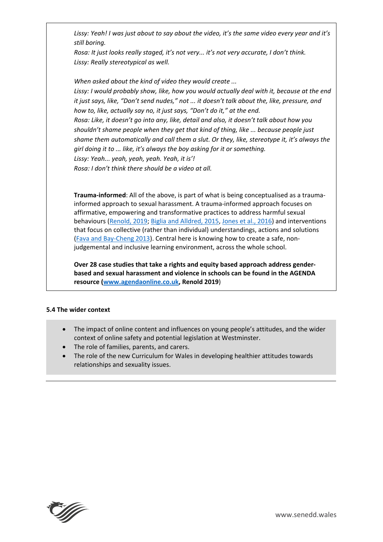*Lissy: Yeah! I was just about to say about the video, it's the same video every year and it's still boring.* 

*Rosa: It just looks really staged, it's not very... it's not very accurate, I don't think. Lissy: Really stereotypical as well.*

*When asked about the kind of video they would create ... Lissy: I would probably show, like, how you would actually deal with it, because at the end it just says, like, "Don't send nudes," not ... it doesn't talk about the, like, pressure, and how to, like, actually say no, it just says, "Don't do it," at the end. Rosa: Like, it doesn't go into any, like, detail and also, it doesn't talk about how you shouldn't shame people when they get that kind of thing, like ... because people just shame them automatically and call them a slut. Or they, like, stereotype it, it's always the girl doing it to ... like, it's always the boy asking for it or something. Lissy: Yeah... yeah, yeah, yeah. Yeah, it is'! Rosa: I don't think there should be a video at all.* 

**Trauma-informed**: All of the above, is part of what is being conceptualised as a traumainformed approach to sexual harassment. A trauma-informed approach focuses on affirmative, empowering and transformative practices to address harmful sexual behaviours [\(Renold, 2019;](http://www.agendaonline.co.uk/) [Biglia and Alldred, 2015,](https://www.researchgate.net/publication/282404167_Gender-Related_Violence_and_Young_People_An_Overview_of_Italian_Irish_Spanish_UK_and_EU_Legislation) [Jones et al., 2016\)](https://www.tandfonline.com/doi/full/10.1080/14681811.2015.1080678) and interventions that focus on collective (rather than individual) understandings, actions and solutions [\(Fava and Bay-Cheng 2013\)](https://www.tandfonline.com/doi/abs/10.1080/14681811.2012.745808?casa_token=c8PO3b6FgC4AAAAA:jEoV5pN4jJHGXLBdXzszI81Qovy6WhY5LLAOEn7ks26pHLJz2RYq25wwDHm_Bz9n7fqZaUP4HtfP). Central here is knowing how to create a safe, nonjudgemental and inclusive learning environment, across the whole school.

**Over 28 case studies that take a rights and equity based approach address genderbased and sexual harassment and violence in schools can be found in the AGENDA resource [\(www.agendaonline.co.uk,](http://www.agendaonline.co.uk/) Renold 2019**)

## **5.4 The wider context**

- The impact of online content and influences on young people's attitudes, and the wider context of online safety and potential legislation at Westminster.
- The role of families, parents, and carers.
- The role of the new Curriculum for Wales in developing healthier attitudes towards relationships and sexuality issues.

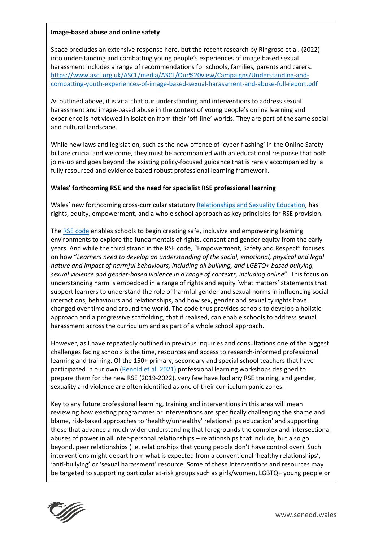#### **Image-based abuse and online safety**

Space precludes an extensive response here, but the recent research by Ringrose et al. (2022) into understanding and combatting young people's experiences of image based sexual harassment includes a range of recommendations for schools, families, parents and carers. [https://www.ascl.org.uk/ASCL/media/ASCL/Our%20view/Campaigns/Understanding-and](https://www.ascl.org.uk/ASCL/media/ASCL/Our%20view/Campaigns/Understanding-and-combatting-youth-experiences-of-image-based-sexual-harassment-and-abuse-full-report.pdf)[combatting-youth-experiences-of-image-based-sexual-harassment-and-abuse-full-report.pdf](https://www.ascl.org.uk/ASCL/media/ASCL/Our%20view/Campaigns/Understanding-and-combatting-youth-experiences-of-image-based-sexual-harassment-and-abuse-full-report.pdf)

As outlined above, it is vital that our understanding and interventions to address sexual harassment and image-based abuse in the context of young people's online learning and experience is not viewed in isolation from their 'off-line' worlds. They are part of the same social and cultural landscape.

While new laws and legislation, such as the new offence of 'cyber-flashing' in the Online Safety bill are crucial and welcome, they must be accompanied with an educational response that both joins-up and goes beyond the existing policy-focused guidance that is rarely accompanied by a fully resourced and evidence based robust professional learning framework.

### **Wales' forthcoming RSE and the need for specialist RSE professional learning**

Wales' new forthcoming cross-curricular statutory [Relationships and Sexuality Education,](https://hwb.gov.wales/curriculum-for-wales/designing-your-curriculum/cross-cutting-themes-for-designing-your-curriculum/#relationships-and-sexuality-education-(rse):-statutory-guidance) has rights, equity, empowerment, and a whole school approach as key principles for RSE provision.

The [RSE code](https://gov.wales/curriculum-wales-relationships-and-sexuality-education-rse-code) enables schools to begin creating safe, inclusive and empowering learning environments to explore the fundamentals of rights, consent and gender equity from the early years. And while the third strand in the RSE code, "Empowerment, Safety and Respect" focuses on how "*Learners need to develop an understanding of the social, emotional, physical and legal nature and impact of harmful behaviours, including all bullying, and LGBTQ+ based bullying, sexual violence and gender-based violence in a range of contexts, including online*". This focus on understanding harm is embedded in a range of rights and equity 'what matters' statements that support learners to understand the role of harmful gender and sexual norms in influencing social interactions, behaviours and relationships, and how sex, gender and sexuality rights have changed over time and around the world. The code thus provides schools to develop a holistic approach and a progressive scaffolding, that if realised, can enable schools to address sexual harassment across the curriculum and as part of a whole school approach.

However, as I have repeatedly outlined in previous inquiries and consultations one of the biggest challenges facing schools is the time, resources and access to research-informed professional learning and training. Of the 150+ primary, secondary and special school teachers that have participated in our own [\(Renold et al. 2021\)](http://www.agendaonline.co.uk/crush/) professional learning workshops designed to prepare them for the new RSE (2019-2022), very few have had any RSE training, and gender, sexuality and violence are often identified as one of their curriculum panic zones.

Key to any future professional learning, training and interventions in this area will mean reviewing how existing programmes or interventions are specifically challenging the shame and blame, risk-based approaches to 'healthy/unhealthy' relationships education' and supporting those that advance a much wider understanding that foregrounds the complex and intersectional abuses of power in all inter-personal relationships – relationships that include, but also go beyond, peer relationships (i.e. relationships that young people don't have control over). Such interventions might depart from what is expected from a conventional 'healthy relationships', 'anti-bullying' or 'sexual harassment' resource. Some of these interventions and resources may be targeted to supporting particular at-risk groups such as girls/women, LGBTQ+ young people or